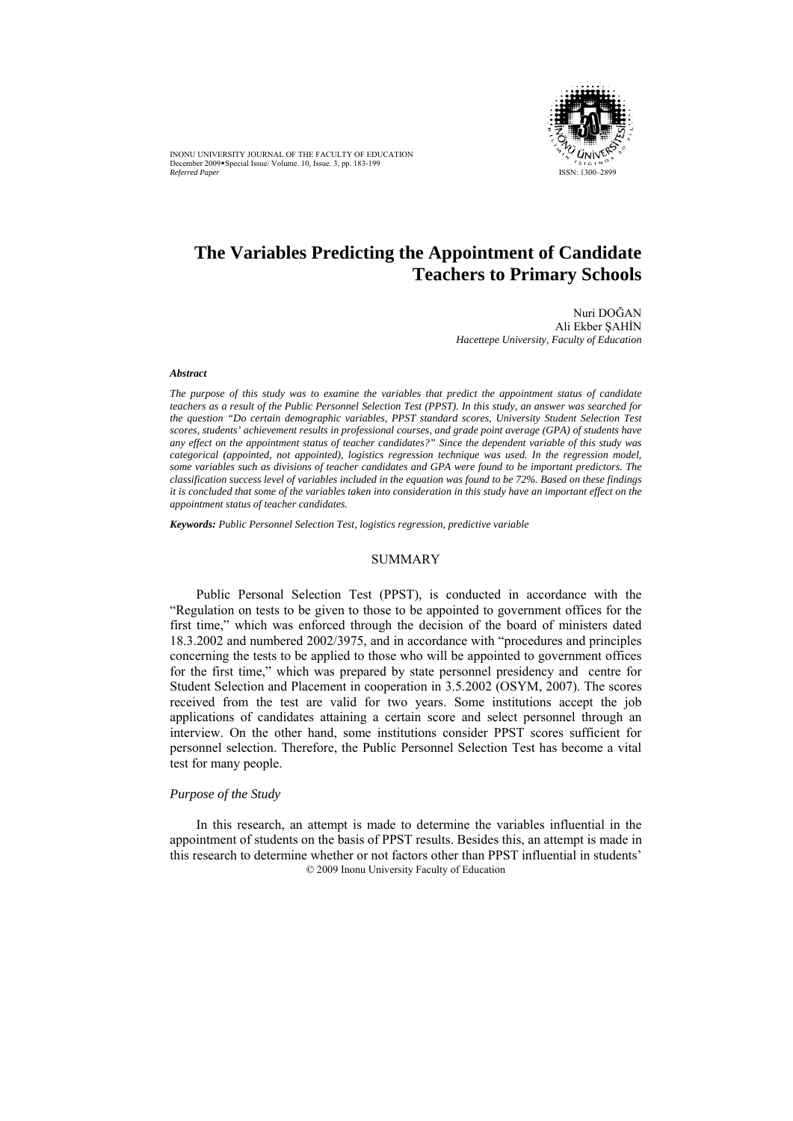

INONU UNIVERSITY JOURNAL OF THE FACULTY OF EDUCATION December 2009 $\bullet$ Special Issue/ Volume. 10, Issue. 3, pp. 183-199 *Referred Paper* ISSN: 1300–2899

# **The Variables Predicting the Appointment of Candidate Teachers to Primary Schools**

Nuri DOĞAN Ali Ekber ŞAHİN *Hacettepe University, Faculty of Education* 

#### *Abstract*

*The purpose of this study was to examine the variables that predict the appointment status of candidate teachers as a result of the Public Personnel Selection Test (PPST). In this study, an answer was searched for the question "Do certain demographic variables, PPST standard scores, University Student Selection Test scores, students' achievement results in professional courses, and grade point average (GPA) of students have any effect on the appointment status of teacher candidates?" Since the dependent variable of this study was categorical (appointed, not appointed), logistics regression technique was used. In the regression model, some variables such as divisions of teacher candidates and GPA were found to be important predictors. The classification success level of variables included in the equation was found to be 72%. Based on these findings it is concluded that some of the variables taken into consideration in this study have an important effect on the appointment status of teacher candidates.* 

*Keywords: Public Personnel Selection Test, logistics regression, predictive variable* 

#### SUMMARY

Public Personal Selection Test (PPST), is conducted in accordance with the "Regulation on tests to be given to those to be appointed to government offices for the first time," which was enforced through the decision of the board of ministers dated 18.3.2002 and numbered 2002/3975, and in accordance with "procedures and principles concerning the tests to be applied to those who will be appointed to government offices for the first time," which was prepared by state personnel presidency and centre for Student Selection and Placement in cooperation in 3.5.2002 (OSYM, 2007). The scores received from the test are valid for two years. Some institutions accept the job applications of candidates attaining a certain score and select personnel through an interview. On the other hand, some institutions consider PPST scores sufficient for personnel selection. Therefore, the Public Personnel Selection Test has become a vital test for many people.

## *Purpose of the Study*

© 2009 Inonu University Faculty of Education In this research, an attempt is made to determine the variables influential in the appointment of students on the basis of PPST results. Besides this, an attempt is made in this research to determine whether or not factors other than PPST influential in students'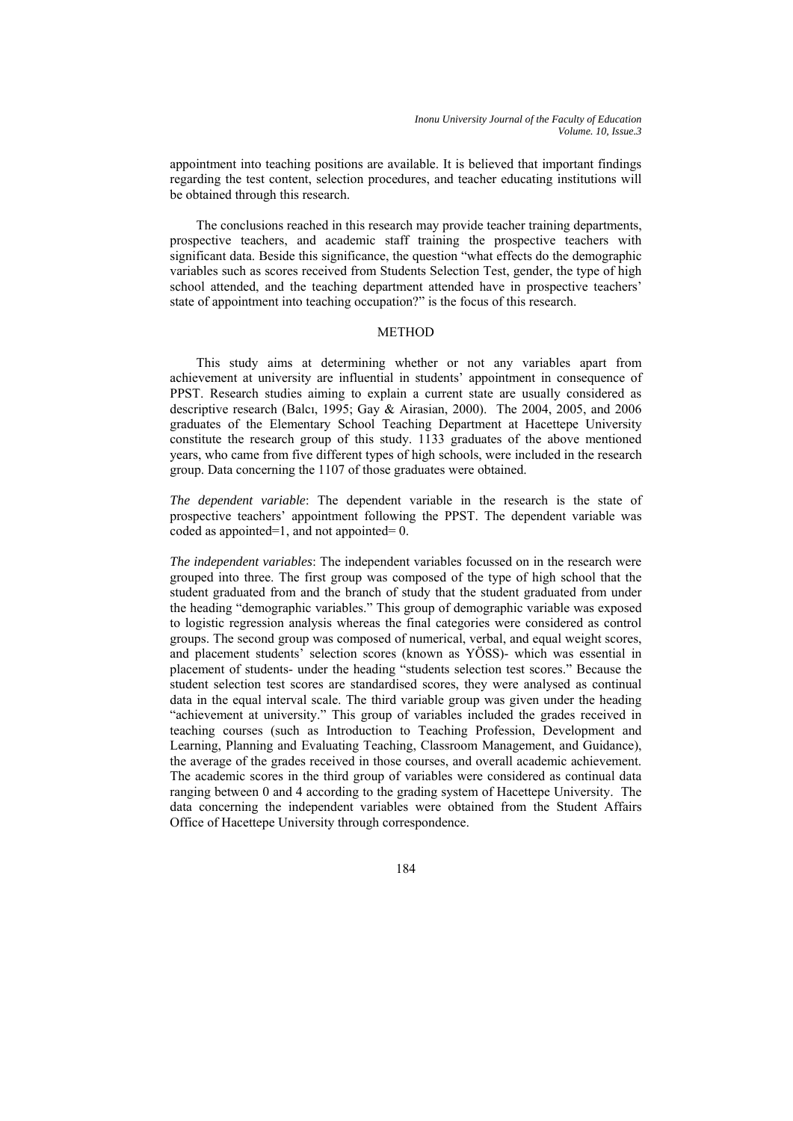appointment into teaching positions are available. It is believed that important findings regarding the test content, selection procedures, and teacher educating institutions will be obtained through this research.

The conclusions reached in this research may provide teacher training departments, prospective teachers, and academic staff training the prospective teachers with significant data. Beside this significance, the question "what effects do the demographic variables such as scores received from Students Selection Test, gender, the type of high school attended, and the teaching department attended have in prospective teachers' state of appointment into teaching occupation?" is the focus of this research.

## METHOD

This study aims at determining whether or not any variables apart from achievement at university are influential in students' appointment in consequence of PPST. Research studies aiming to explain a current state are usually considered as descriptive research (Balcı, 1995; Gay & Airasian, 2000). The 2004, 2005, and 2006 graduates of the Elementary School Teaching Department at Hacettepe University constitute the research group of this study. 1133 graduates of the above mentioned years, who came from five different types of high schools, were included in the research group. Data concerning the 1107 of those graduates were obtained.

*The dependent variable*: The dependent variable in the research is the state of prospective teachers' appointment following the PPST. The dependent variable was coded as appointed=1, and not appointed= 0.

*The independent variables*: The independent variables focussed on in the research were grouped into three. The first group was composed of the type of high school that the student graduated from and the branch of study that the student graduated from under the heading "demographic variables." This group of demographic variable was exposed to logistic regression analysis whereas the final categories were considered as control groups. The second group was composed of numerical, verbal, and equal weight scores, and placement students' selection scores (known as YÖSS)- which was essential in placement of students- under the heading "students selection test scores." Because the student selection test scores are standardised scores, they were analysed as continual data in the equal interval scale. The third variable group was given under the heading "achievement at university." This group of variables included the grades received in teaching courses (such as Introduction to Teaching Profession, Development and Learning, Planning and Evaluating Teaching, Classroom Management, and Guidance), the average of the grades received in those courses, and overall academic achievement. The academic scores in the third group of variables were considered as continual data ranging between 0 and 4 according to the grading system of Hacettepe University. The data concerning the independent variables were obtained from the Student Affairs Office of Hacettepe University through correspondence.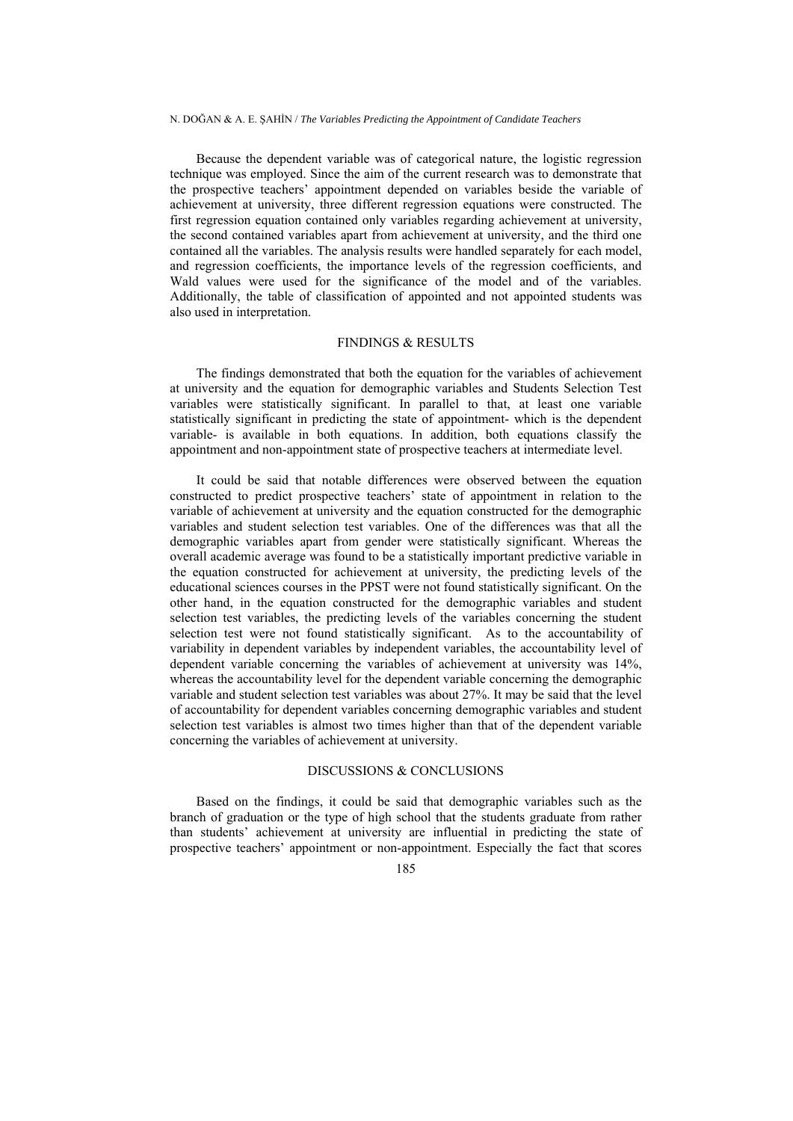#### N. DOĞAN & A. E. ŞAHİN / *The Variables Predicting the Appointment of Candidate Teachers*

Because the dependent variable was of categorical nature, the logistic regression technique was employed. Since the aim of the current research was to demonstrate that the prospective teachers' appointment depended on variables beside the variable of achievement at university, three different regression equations were constructed. The first regression equation contained only variables regarding achievement at university, the second contained variables apart from achievement at university, and the third one contained all the variables. The analysis results were handled separately for each model, and regression coefficients, the importance levels of the regression coefficients, and Wald values were used for the significance of the model and of the variables. Additionally, the table of classification of appointed and not appointed students was also used in interpretation.

## FINDINGS & RESULTS

The findings demonstrated that both the equation for the variables of achievement at university and the equation for demographic variables and Students Selection Test variables were statistically significant. In parallel to that, at least one variable statistically significant in predicting the state of appointment- which is the dependent variable- is available in both equations. In addition, both equations classify the appointment and non-appointment state of prospective teachers at intermediate level.

It could be said that notable differences were observed between the equation constructed to predict prospective teachers' state of appointment in relation to the variable of achievement at university and the equation constructed for the demographic variables and student selection test variables. One of the differences was that all the demographic variables apart from gender were statistically significant. Whereas the overall academic average was found to be a statistically important predictive variable in the equation constructed for achievement at university, the predicting levels of the educational sciences courses in the PPST were not found statistically significant. On the other hand, in the equation constructed for the demographic variables and student selection test variables, the predicting levels of the variables concerning the student selection test were not found statistically significant. As to the accountability of variability in dependent variables by independent variables, the accountability level of dependent variable concerning the variables of achievement at university was 14%, whereas the accountability level for the dependent variable concerning the demographic variable and student selection test variables was about 27%. It may be said that the level of accountability for dependent variables concerning demographic variables and student selection test variables is almost two times higher than that of the dependent variable concerning the variables of achievement at university.

## DISCUSSIONS & CONCLUSIONS

Based on the findings, it could be said that demographic variables such as the branch of graduation or the type of high school that the students graduate from rather than students' achievement at university are influential in predicting the state of prospective teachers' appointment or non-appointment. Especially the fact that scores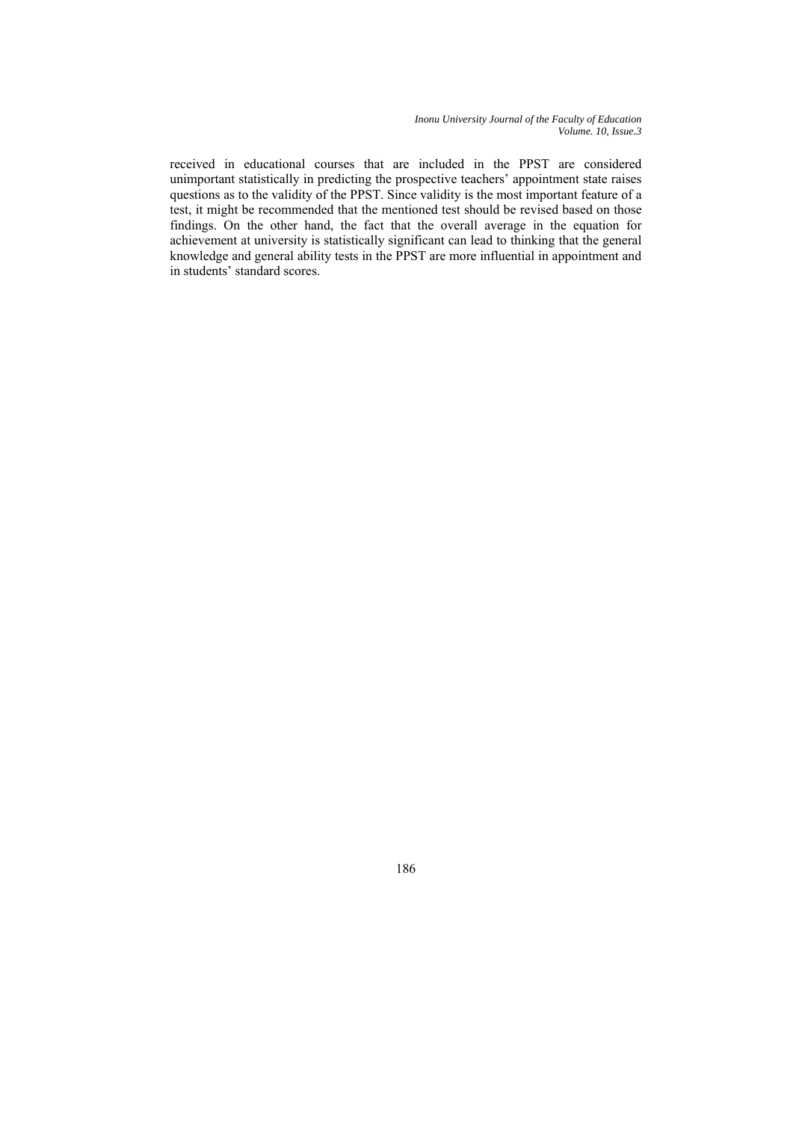*Inonu University Journal of the Faculty of Education Volume. 10, Issue.3* 

received in educational courses that are included in the PPST are considered unimportant statistically in predicting the prospective teachers' appointment state raises questions as to the validity of the PPST. Since validity is the most important feature of a test, it might be recommended that the mentioned test should be revised based on those findings. On the other hand, the fact that the overall average in the equation for achievement at university is statistically significant can lead to thinking that the general knowledge and general ability tests in the PPST are more influential in appointment and in students' standard scores.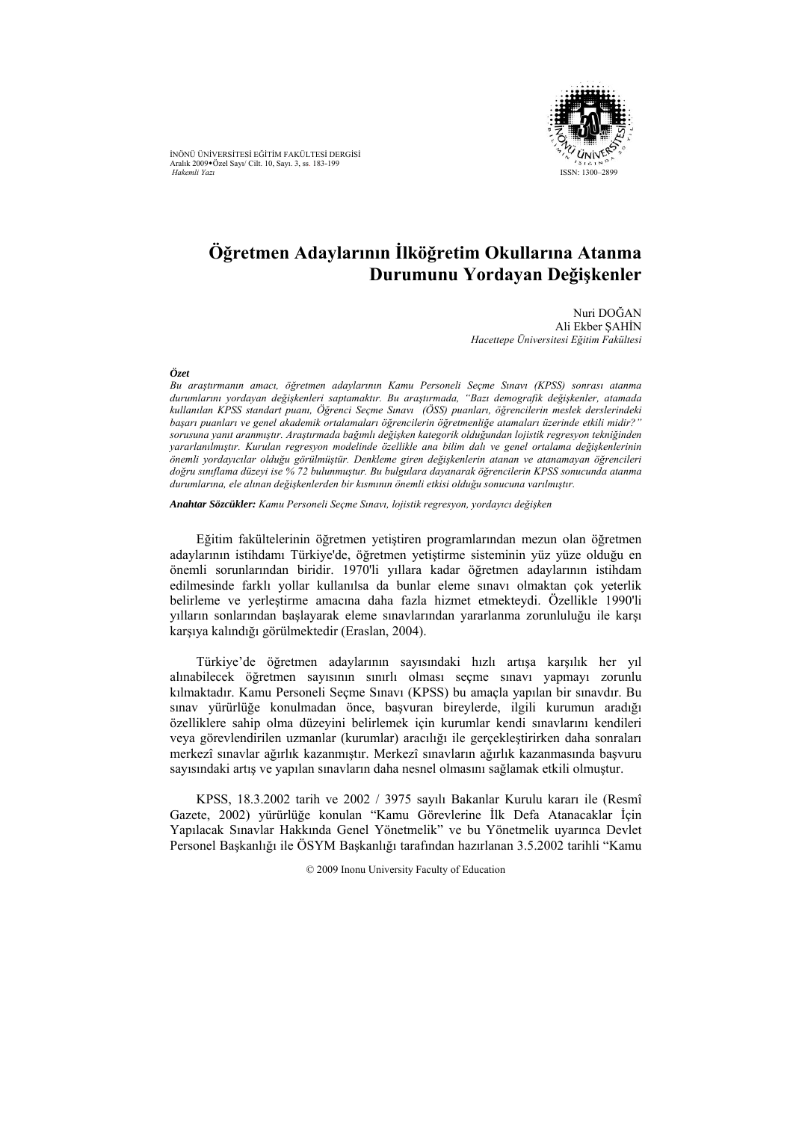

İNÖNÜ ÜNİVERSİTESİ EĞİTİM FAKÜLTESİ DERGİSİ Aralık 2009 $\bullet$ Özel Sayı/ Cilt. 10, Sayı. 3, ss. 183-199<br>Hakemli Yazı  *Hakemli Yazı* ISSN: 1300–2899

# **Öğretmen Adaylarının İlköğretim Okullarına Atanma Durumunu Yordayan Değişkenler**

Nuri DOĞAN Ali Ekber ŞAHİN *Hacettepe Üniversitesi Eğitim Fakültesi* 

#### *Özet*

*Bu araştırmanın amacı, öğretmen adaylarının Kamu Personeli Seçme Sınavı (KPSS) sonrası atanma durumlarını yordayan değişkenleri saptamaktır. Bu araştırmada, "Bazı demografik değişkenler, atamada kullanılan KPSS standart puanı, Öğrenci Seçme Sınavı (ÖSS) puanları, öğrencilerin meslek derslerindeki başarı puanları ve genel akademik ortalamaları öğrencilerin öğretmenliğe atamaları üzerinde etkili midir?" sorusuna yanıt aranmıştır. Araştırmada bağımlı değişken kategorik olduğundan lojistik regresyon tekniğinden yararlanılmıştır. Kurulan regresyon modelinde özellikle ana bilim dalı ve genel ortalama değişkenlerinin önemli yordayıcılar olduğu görülmüştür. Denkleme giren değişkenlerin atanan ve atanamayan öğrencileri doğru sınıflama düzeyi ise % 72 bulunmuştur. Bu bulgulara dayanarak öğrencilerin KPSS sonucunda atanma durumlarına, ele alınan değişkenlerden bir kısmının önemli etkisi olduğu sonucuna varılmıştır.* 

*Anahtar Sözcükler: Kamu Personeli Seçme Sınavı, lojistik regresyon, yordayıcı değişken* 

Eğitim fakültelerinin öğretmen yetiştiren programlarından mezun olan öğretmen adaylarının istihdamı Türkiye'de, öğretmen yetiştirme sisteminin yüz yüze olduğu en önemli sorunlarından biridir. 1970'li yıllara kadar öğretmen adaylarının istihdam edilmesinde farklı yollar kullanılsa da bunlar eleme sınavı olmaktan çok yeterlik belirleme ve yerleştirme amacına daha fazla hizmet etmekteydi. Özellikle 1990'li yılların sonlarından başlayarak eleme sınavlarından yararlanma zorunluluğu ile karşı karşıya kalındığı görülmektedir (Eraslan, 2004).

Türkiye'de öğretmen adaylarının sayısındaki hızlı artışa karşılık her yıl alınabilecek öğretmen sayısının sınırlı olması seçme sınavı yapmayı zorunlu kılmaktadır. Kamu Personeli Seçme Sınavı (KPSS) bu amaçla yapılan bir sınavdır. Bu sınav yürürlüğe konulmadan önce, başvuran bireylerde, ilgili kurumun aradığı özelliklere sahip olma düzeyini belirlemek için kurumlar kendi sınavlarını kendileri veya görevlendirilen uzmanlar (kurumlar) aracılığı ile gerçekleştirirken daha sonraları merkezî sınavlar ağırlık kazanmıştır. Merkezî sınavların ağırlık kazanmasında başvuru sayısındaki artış ve yapılan sınavların daha nesnel olmasını sağlamak etkili olmuştur.

KPSS, 18.3.2002 tarih ve 2002 / 3975 sayılı Bakanlar Kurulu kararı ile (Resmî Gazete, 2002) yürürlüğe konulan "Kamu Görevlerine İlk Defa Atanacaklar İçin Yapılacak Sınavlar Hakkında Genel Yönetmelik" ve bu Yönetmelik uyarınca Devlet Personel Başkanlığı ile ÖSYM Başkanlığı tarafından hazırlanan 3.5.2002 tarihli "Kamu

© 2009 Inonu University Faculty of Education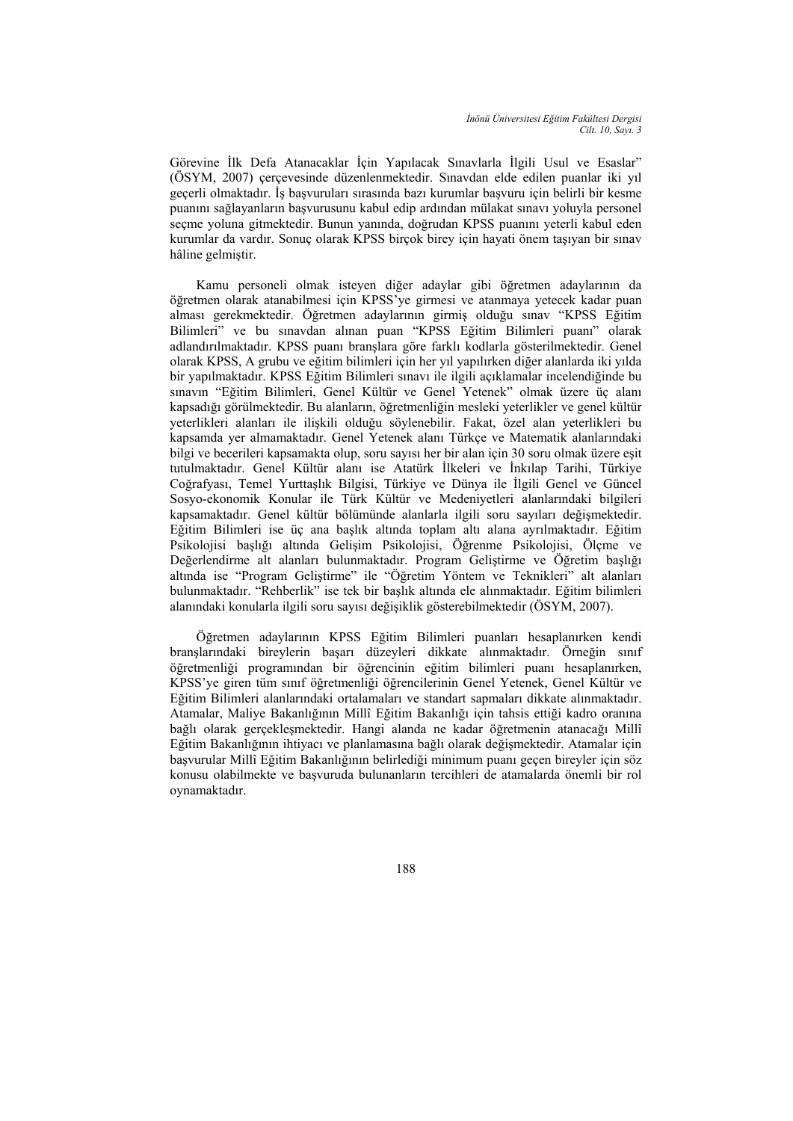Görevine İlk Defa Atanacaklar İçin Yapılacak Sınavlarla İlgili Usul ve Esaslar" (ÖSYM, 2007) çerçevesinde düzenlenmektedir. Sınavdan elde edilen puanlar iki yıl geçerli olmaktadır. İş başvuruları sırasında bazı kurumlar başvuru için belirli bir kesme puanını sağlayanların başvurusunu kabul edip ardından mülakat sınavı yoluyla personel seçme yoluna gitmektedir. Bunun yanında, doğrudan KPSS puanını yeterli kabul eden kurumlar da vardır. Sonuç olarak KPSS birçok birey için hayati önem taşıyan bir sınav hâline gelmiştir.

Kamu personeli olmak isteyen diğer adaylar gibi öğretmen adaylarının da öğretmen olarak atanabilmesi için KPSS'ye girmesi ve atanmaya yetecek kadar puan alması gerekmektedir. Öğretmen adaylarının girmiş olduğu sınav "KPSS Eğitim Bilimleri" ve bu sınavdan alınan puan "KPSS Eğitim Bilimleri puanı" olarak adlandırılmaktadır. KPSS puanı branşlara göre farklı kodlarla gösterilmektedir. Genel olarak KPSS, A grubu ve eğitim bilimleri için her yıl yapılırken diğer alanlarda iki yılda bir yapılmaktadır. KPSS Eğitim Bilimleri sınavı ile ilgili açıklamalar incelendiğinde bu sınavın "Eğitim Bilimleri, Genel Kültür ve Genel Yetenek" olmak üzere üç alanı kapsadığı görülmektedir. Bu alanların, öğretmenliğin mesleki yeterlikler ve genel kültür yeterlikleri alanları ile ilişkili olduğu söylenebilir. Fakat, özel alan yeterlikleri bu kapsamda yer almamaktadır. Genel Yetenek alanı Türkçe ve Matematik alanlarındaki bilgi ve becerileri kapsamakta olup, soru sayısı her bir alan için 30 soru olmak üzere eşit tutulmaktadır. Genel Kültür alanı ise Atatürk İlkeleri ve İnkılap Tarihi, Türkiye Coğrafyası, Temel Yurttaşlık Bilgisi, Türkiye ve Dünya ile İlgili Genel ve Güncel Sosyo-ekonomik Konular ile Türk Kültür ve Medeniyetleri alanlarındaki bilgileri kapsamaktadır. Genel kültür bölümünde alanlarla ilgili soru sayıları değişmektedir. Eğitim Bilimleri ise üç ana başlık altında toplam altı alana ayrılmaktadır. Eğitim Psikolojisi başlığı altında Gelişim Psikolojisi, Öğrenme Psikolojisi, Ölçme ve Değerlendirme alt alanları bulunmaktadır. Program Geliştirme ve Öğretim başlığı altında ise "Program Geliştirme" ile "Öğretim Yöntem ve Teknikleri" alt alanları bulunmaktadır. "Rehberlik" ise tek bir başlık altında ele alınmaktadır. Eğitim bilimleri alanındaki konularla ilgili soru sayısı değişiklik gösterebilmektedir (ÖSYM, 2007).

Öğretmen adaylarının KPSS Eğitim Bilimleri puanları hesaplanırken kendi branşlarındaki bireylerin başarı düzeyleri dikkate alınmaktadır. Örneğin sınıf öğretmenliği programından bir öğrencinin eğitim bilimleri puanı hesaplanırken, KPSS'ye giren tüm sınıf öğretmenliği öğrencilerinin Genel Yetenek, Genel Kültür ve Eğitim Bilimleri alanlarındaki ortalamaları ve standart sapmaları dikkate alınmaktadır. Atamalar, Maliye Bakanlığının Millî Eğitim Bakanlığı için tahsis ettiği kadro oranına bağlı olarak gerçekleşmektedir. Hangi alanda ne kadar öğretmenin atanacağı Millî Eğitim Bakanlığının ihtiyacı ve planlamasına bağlı olarak değişmektedir. Atamalar için başvurular Millî Eğitim Bakanlığının belirlediği minimum puanı geçen bireyler için söz konusu olabilmekte ve başvuruda bulunanların tercihleri de atamalarda önemli bir rol oynamaktadır.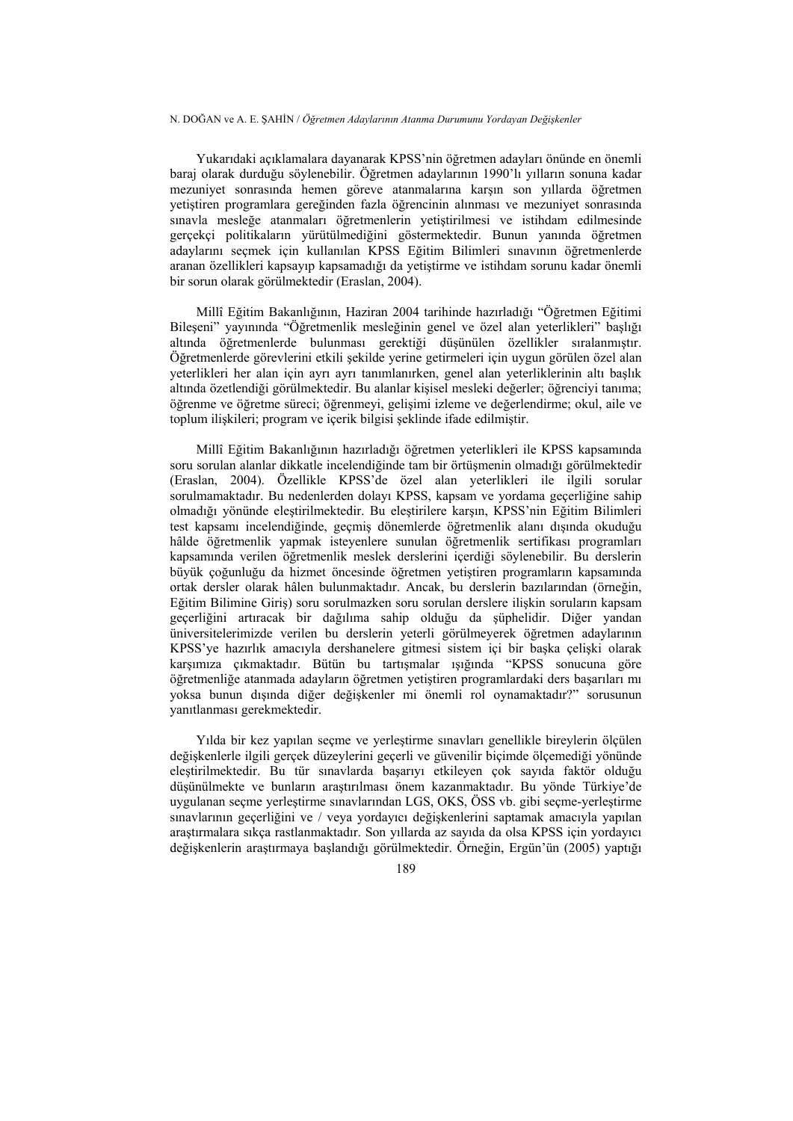Yukarıdaki açıklamalara dayanarak KPSS'nin öğretmen adayları önünde en önemli baraj olarak durduğu söylenebilir. Öğretmen adaylarının 1990'lı yılların sonuna kadar mezuniyet sonrasında hemen göreve atanmalarına karşın son yıllarda öğretmen yetiştiren programlara gereğinden fazla öğrencinin alınması ve mezuniyet sonrasında sınavla mesleğe atanmaları öğretmenlerin yetiştirilmesi ve istihdam edilmesinde gerçekçi politikaların yürütülmediğini göstermektedir. Bunun yanında öğretmen adaylarını seçmek için kullanılan KPSS Eğitim Bilimleri sınavının öğretmenlerde aranan özellikleri kapsayıp kapsamadığı da yetiştirme ve istihdam sorunu kadar önemli bir sorun olarak görülmektedir (Eraslan, 2004).

Millî Eğitim Bakanlığının, Haziran 2004 tarihinde hazırladığı "Öğretmen Eğitimi Bileşeni" yayınında "Öğretmenlik mesleğinin genel ve özel alan yeterlikleri" başlığı altında öğretmenlerde bulunması gerektiği düşünülen özellikler sıralanmıştır. Öğretmenlerde görevlerini etkili şekilde yerine getirmeleri için uygun görülen özel alan yeterlikleri her alan için ayrı ayrı tanımlanırken, genel alan yeterliklerinin altı başlık altında özetlendiği görülmektedir. Bu alanlar kişisel mesleki değerler; öğrenciyi tanıma; öğrenme ve öğretme süreci; öğrenmeyi, gelişimi izleme ve değerlendirme; okul, aile ve toplum ilişkileri; program ve içerik bilgisi şeklinde ifade edilmiştir.

Millî Eğitim Bakanlığının hazırladığı öğretmen yeterlikleri ile KPSS kapsamında soru sorulan alanlar dikkatle incelendiğinde tam bir örtüşmenin olmadığı görülmektedir (Eraslan, 2004). Özellikle KPSS'de özel alan yeterlikleri ile ilgili sorular sorulmamaktadır. Bu nedenlerden dolayı KPSS, kapsam ve yordama geçerliğine sahip olmadığı yönünde eleştirilmektedir. Bu eleştirilere karşın, KPSS'nin Eğitim Bilimleri test kapsamı incelendiğinde, geçmiş dönemlerde öğretmenlik alanı dışında okuduğu hâlde öğretmenlik yapmak isteyenlere sunulan öğretmenlik sertifikası programları kapsamında verilen öğretmenlik meslek derslerini içerdiği söylenebilir. Bu derslerin büyük çoğunluğu da hizmet öncesinde öğretmen yetiştiren programların kapsamında ortak dersler olarak hâlen bulunmaktadır. Ancak, bu derslerin bazılarından (örneğin, Eğitim Bilimine Giriş) soru sorulmazken soru sorulan derslere ilişkin soruların kapsam geçerliğini artıracak bir dağılıma sahip olduğu da şüphelidir. Diğer yandan üniversitelerimizde verilen bu derslerin yeterli görülmeyerek öğretmen adaylarının KPSS'ye hazırlık amacıyla dershanelere gitmesi sistem içi bir başka çelişki olarak karşımıza çıkmaktadır. Bütün bu tartışmalar ışığında "KPSS sonucuna göre öğretmenliğe atanmada adayların öğretmen yetiştiren programlardaki ders başarıları mı yoksa bunun dışında diğer değişkenler mi önemli rol oynamaktadır?" sorusunun yanıtlanması gerekmektedir.

Yılda bir kez yapılan seçme ve yerleştirme sınavları genellikle bireylerin ölçülen değişkenlerle ilgili gerçek düzeylerini geçerli ve güvenilir biçimde ölçemediği yönünde eleştirilmektedir. Bu tür sınavlarda başarıyı etkileyen çok sayıda faktör olduğu düşünülmekte ve bunların araştırılması önem kazanmaktadır. Bu yönde Türkiye'de uygulanan seçme yerleştirme sınavlarından LGS, OKS, ÖSS vb. gibi seçme-yerleştirme sınavlarının geçerliğini ve / veya yordayıcı değişkenlerini saptamak amacıyla yapılan araştırmalara sıkça rastlanmaktadır. Son yıllarda az sayıda da olsa KPSS için yordayıcı değişkenlerin araştırmaya başlandığı görülmektedir. Örneğin, Ergün'ün (2005) yaptığı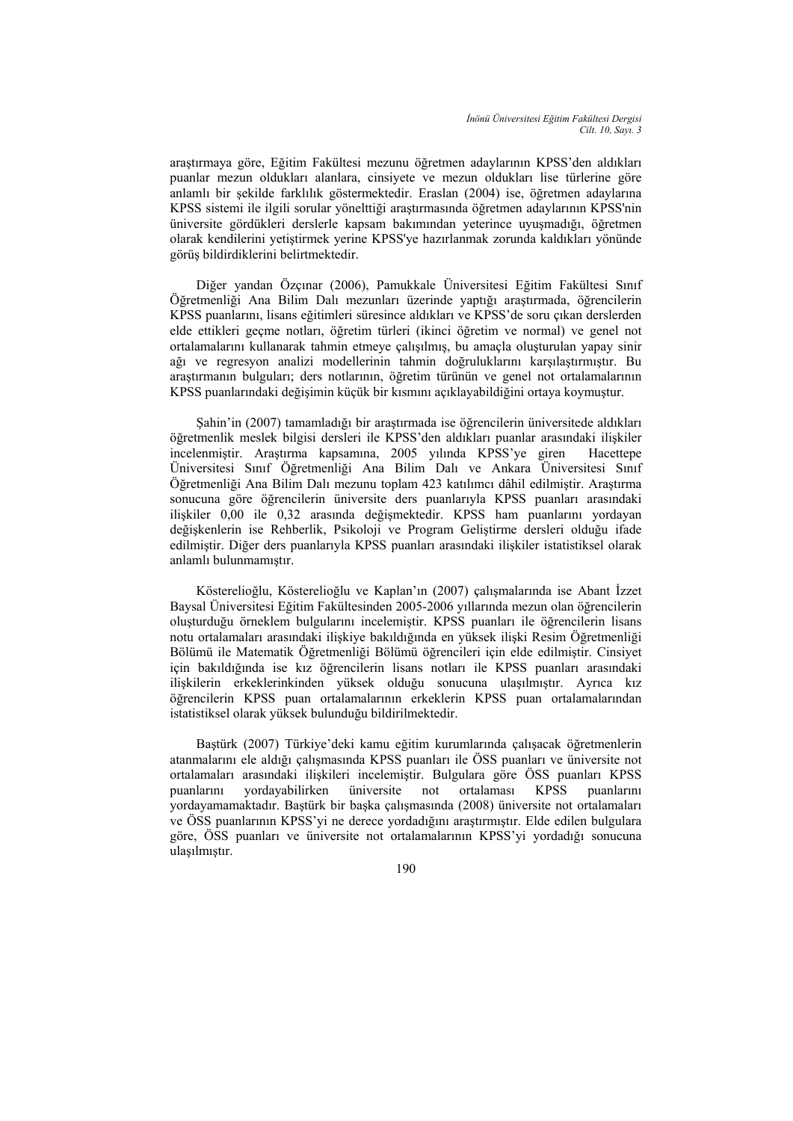araştırmaya göre, Eğitim Fakültesi mezunu öğretmen adaylarının KPSS'den aldıkları puanlar mezun oldukları alanlara, cinsiyete ve mezun oldukları lise türlerine göre anlamlı bir şekilde farklılık göstermektedir. Eraslan (2004) ise, öğretmen adaylarına KPSS sistemi ile ilgili sorular yönelttiği araştırmasında öğretmen adaylarının KPSS'nin üniversite gördükleri derslerle kapsam bakımından yeterince uyuşmadığı, öğretmen olarak kendilerini yetiştirmek yerine KPSS'ye hazırlanmak zorunda kaldıkları yönünde görüş bildirdiklerini belirtmektedir.

Diğer yandan Özçınar (2006), Pamukkale Üniversitesi Eğitim Fakültesi Sınıf Öğretmenliği Ana Bilim Dalı mezunları üzerinde yaptığı araştırmada, öğrencilerin KPSS puanlarını, lisans eğitimleri süresince aldıkları ve KPSS'de soru çıkan derslerden elde ettikleri geçme notları, öğretim türleri (ikinci öğretim ve normal) ve genel not ortalamalarını kullanarak tahmin etmeye çalışılmış, bu amaçla oluşturulan yapay sinir ağı ve regresyon analizi modellerinin tahmin doğruluklarını karşılaştırmıştır. Bu araştırmanın bulguları; ders notlarının, öğretim türünün ve genel not ortalamalarının KPSS puanlarındaki değişimin küçük bir kısmını açıklayabildiğini ortaya koymuştur.

Şahin'in (2007) tamamladığı bir araştırmada ise öğrencilerin üniversitede aldıkları öğretmenlik meslek bilgisi dersleri ile KPSS'den aldıkları puanlar arasındaki ilişkiler incelenmiştir. Araştırma kapsamına, 2005 yılında KPSS'ye giren Hacettepe Üniversitesi Sınıf Öğretmenliği Ana Bilim Dalı ve Ankara Üniversitesi Sınıf Öğretmenliği Ana Bilim Dalı mezunu toplam 423 katılımcı dâhil edilmiştir. Araştırma sonucuna göre öğrencilerin üniversite ders puanlarıyla KPSS puanları arasındaki ilişkiler 0,00 ile 0,32 arasında değişmektedir. KPSS ham puanlarını yordayan değişkenlerin ise Rehberlik, Psikoloji ve Program Geliştirme dersleri olduğu ifade edilmiştir. Diğer ders puanlarıyla KPSS puanları arasındaki ilişkiler istatistiksel olarak anlamlı bulunmamıştır.

Kösterelioğlu, Kösterelioğlu ve Kaplan'ın (2007) çalışmalarında ise Abant İzzet Baysal Üniversitesi Eğitim Fakültesinden 2005-2006 yıllarında mezun olan öğrencilerin oluşturduğu örneklem bulgularını incelemiştir. KPSS puanları ile öğrencilerin lisans notu ortalamaları arasındaki ilişkiye bakıldığında en yüksek ilişki Resim Öğretmenliği Bölümü ile Matematik Öğretmenliği Bölümü öğrencileri için elde edilmiştir. Cinsiyet için bakıldığında ise kız öğrencilerin lisans notları ile KPSS puanları arasındaki ilişkilerin erkeklerinkinden yüksek olduğu sonucuna ulaşılmıştır. Ayrıca kız öğrencilerin KPSS puan ortalamalarının erkeklerin KPSS puan ortalamalarından istatistiksel olarak yüksek bulunduğu bildirilmektedir.

Baştürk (2007) Türkiye'deki kamu eğitim kurumlarında çalışacak öğretmenlerin atanmalarını ele aldığı çalışmasında KPSS puanları ile ÖSS puanları ve üniversite not ortalamaları arasındaki ilişkileri incelemiştir. Bulgulara göre ÖSS puanları KPSS puanlarını yordayabilirken üniversite not ortalaması KPSS puanlarını yordayamamaktadır. Baştürk bir başka çalışmasında (2008) üniversite not ortalamaları ve ÖSS puanlarının KPSS'yi ne derece yordadığını araştırmıştır. Elde edilen bulgulara göre, ÖSS puanları ve üniversite not ortalamalarının KPSS'yi yordadığı sonucuna ulaşılmıştır.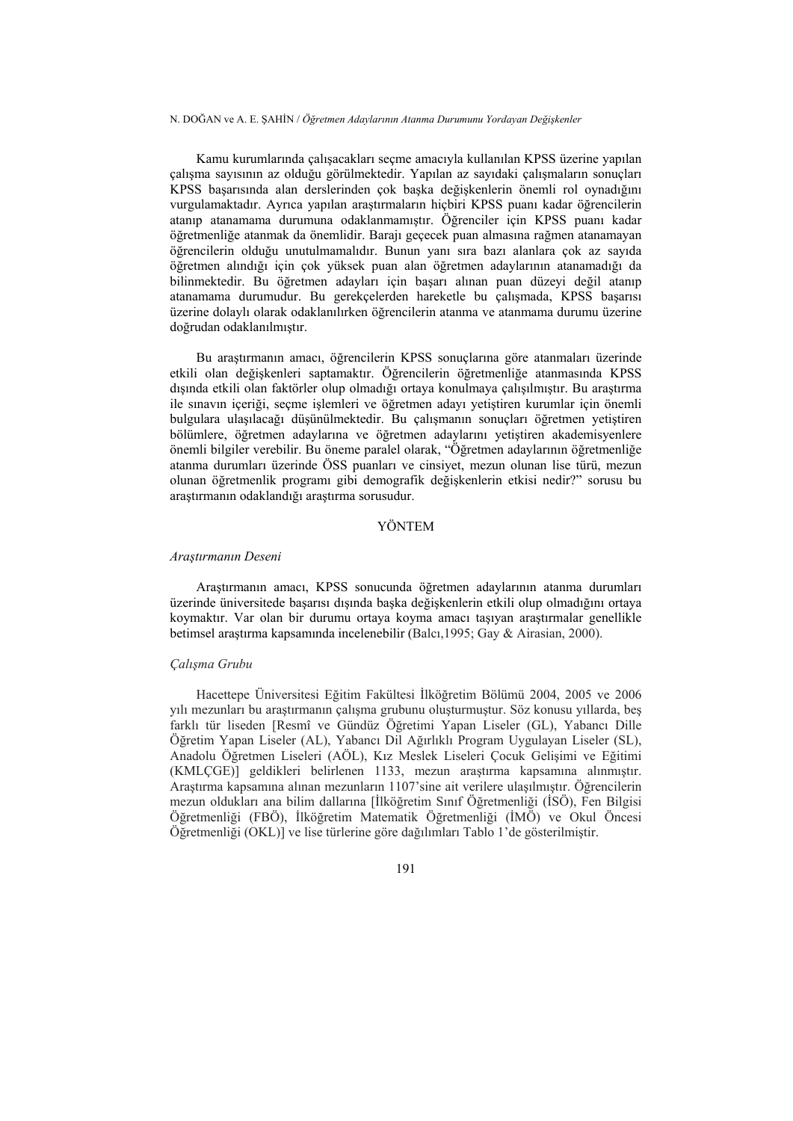Kamu kurumlarında çalışacakları seçme amacıyla kullanılan KPSS üzerine yapılan çalışma sayısının az olduğu görülmektedir. Yapılan az sayıdaki çalışmaların sonuçları KPSS başarısında alan derslerinden çok başka değişkenlerin önemli rol oynadığını vurgulamaktadır. Ayrıca yapılan araştırmaların hiçbiri KPSS puanı kadar öğrencilerin atanıp atanamama durumuna odaklanmamıştır. Öğrenciler için KPSS puanı kadar öğretmenliğe atanmak da önemlidir. Barajı geçecek puan almasına rağmen atanamayan öğrencilerin olduğu unutulmamalıdır. Bunun yanı sıra bazı alanlara çok az sayıda öğretmen alındığı için çok yüksek puan alan öğretmen adaylarının atanamadığı da bilinmektedir. Bu öğretmen adayları için başarı alınan puan düzeyi değil atanıp atanamama durumudur. Bu gerekçelerden hareketle bu çalışmada, KPSS başarısı üzerine dolaylı olarak odaklanılırken öğrencilerin atanma ve atanmama durumu üzerine doğrudan odaklanılmıştır.

Bu araştırmanın amacı, öğrencilerin KPSS sonuçlarına göre atanmaları üzerinde etkili olan değişkenleri saptamaktır. Öğrencilerin öğretmenliğe atanmasında KPSS dışında etkili olan faktörler olup olmadığı ortaya konulmaya çalışılmıştır. Bu araştırma ile sınavın içeriği, seçme işlemleri ve öğretmen adayı yetiştiren kurumlar için önemli bulgulara ulaşılacağı düşünülmektedir. Bu çalışmanın sonuçları öğretmen yetiştiren bölümlere, öğretmen adaylarına ve öğretmen adaylarını yetiştiren akademisyenlere önemli bilgiler verebilir. Bu öneme paralel olarak, "Öğretmen adaylarının öğretmenliğe atanma durumları üzerinde ÖSS puanları ve cinsiyet, mezun olunan lise türü, mezun olunan öğretmenlik programı gibi demografik değişkenlerin etkisi nedir?" sorusu bu araştırmanın odaklandığı araştırma sorusudur.

#### YÖNTEM

### *Araştırmanın Deseni*

Araştırmanın amacı, KPSS sonucunda öğretmen adaylarının atanma durumları üzerinde üniversitede başarısı dışında başka değişkenlerin etkili olup olmadığını ortaya koymaktır. Var olan bir durumu ortaya koyma amacı taşıyan araştırmalar genellikle betimsel araştırma kapsamında incelenebilir (Balcı,1995; Gay & Airasian, 2000).

### *Çalışma Grubu*

Hacettepe Üniversitesi Eğitim Fakültesi İlköğretim Bölümü 2004, 2005 ve 2006 yılı mezunları bu araştırmanın çalışma grubunu oluşturmuştur. Söz konusu yıllarda, beş farklı tür liseden [Resmî ve Gündüz Öğretimi Yapan Liseler (GL), Yabancı Dille Öğretim Yapan Liseler (AL), Yabancı Dil Ağırlıklı Program Uygulayan Liseler (SL), Anadolu Öğretmen Liseleri (AÖL), Kız Meslek Liseleri Çocuk Gelişimi ve Eğitimi (KMLÇGE)] geldikleri belirlenen 1133, mezun araştırma kapsamına alınmıştır. Araştırma kapsamına alınan mezunların 1107'sine ait verilere ulaşılmıştır. Öğrencilerin mezun oldukları ana bilim dallarına [İlköğretim Sınıf Öğretmenliği (İSÖ), Fen Bilgisi Öğretmenliği (FBÖ), İlköğretim Matematik Öğretmenliği (İMÖ) ve Okul Öncesi Öğretmenliği (OKL)] ve lise türlerine göre dağılımları Tablo 1'de gösterilmiştir.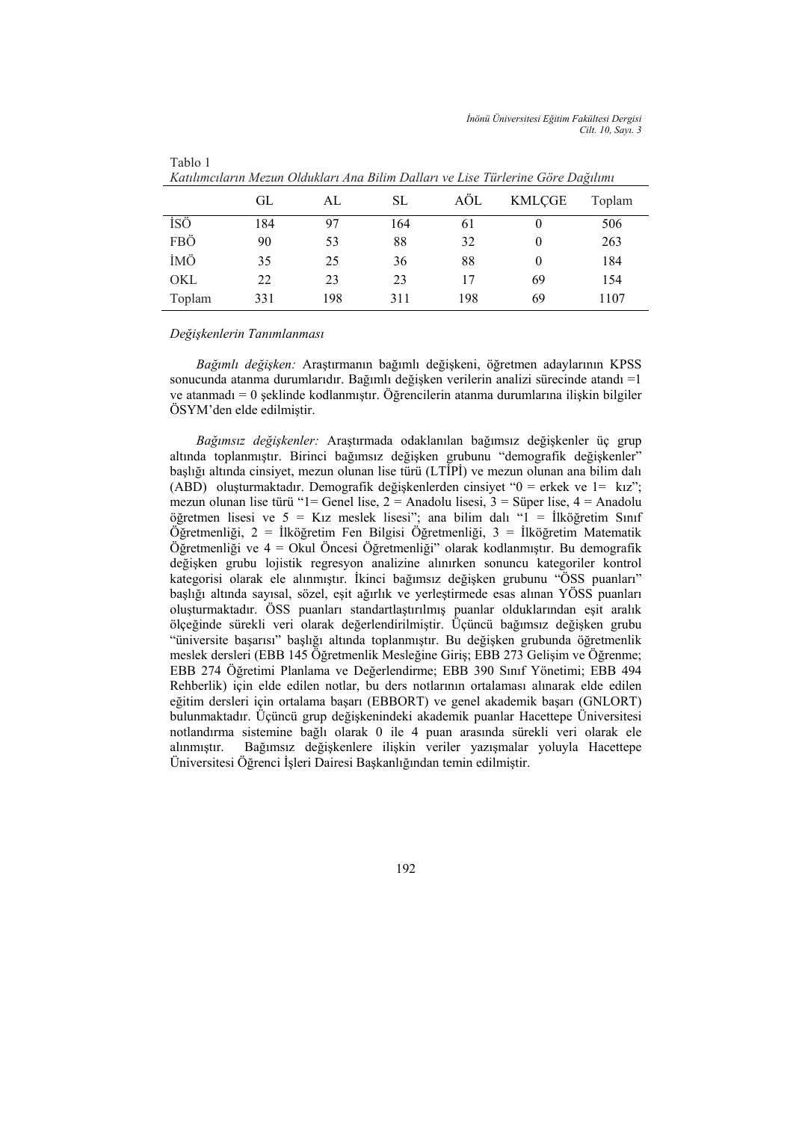| Katılımcıların Mezun Oldukları Ana Bilim Dalları ve Lise Türlerine Göre Dağılımı |     |     |     |     |               |        |
|----------------------------------------------------------------------------------|-----|-----|-----|-----|---------------|--------|
|                                                                                  | GL. | AL. | SL  | AOL | <b>KMLCGE</b> | Toplam |
| İSÖ                                                                              | 184 | 97  | 164 | 61  | $\theta$      | 506    |
| FBÖ                                                                              | 90  | 53  | 88  | 32  | $\theta$      | 263    |
| İMÖ                                                                              | 35  | 25  | 36  | 88  | 0             | 184    |
| OKL                                                                              | 22  | 23  | 23  | 17  | 69            | 154    |
| Toplam                                                                           | 331 | 198 | 311 | 198 | 69            | 1107   |

#### *Değişkenlerin Tanımlanması*

Tablo 1

*Bağımlı değişken:* Araştırmanın bağımlı değişkeni, öğretmen adaylarının KPSS sonucunda atanma durumlarıdır. Bağımlı değişken verilerin analizi sürecinde atandı =1 ve atanmadı = 0 şeklinde kodlanmıştır. Öğrencilerin atanma durumlarına ilişkin bilgiler ÖSYM'den elde edilmiştir.

*Bağımsız değişkenler:* Araştırmada odaklanılan bağımsız değişkenler üç grup altında toplanmıştır. Birinci bağımsız değişken grubunu "demografik değişkenler" başlığı altında cinsiyet, mezun olunan lise türü (LTİPİ) ve mezun olunan ana bilim dalı (ABD) oluşturmaktadır. Demografik değişkenlerden cinsiyet "0 = erkek ve 1= kız"; mezun olunan lise türü "1= Genel lise,  $2 =$  Anadolu lisesi,  $3 =$  Süper lise,  $4 =$  Anadolu öğretmen lisesi ve 5 = Kız meslek lisesi"; ana bilim dalı "1 = İlköğretim Sınıf Öğretmenliği, 2 = İlköğretim Fen Bilgisi Öğretmenliği, 3 = İlköğretim Matematik Öğretmenliği ve 4 = Okul Öncesi Öğretmenliği" olarak kodlanmıştır. Bu demografik değişken grubu lojistik regresyon analizine alınırken sonuncu kategoriler kontrol kategorisi olarak ele alınmıştır. İkinci bağımsız değişken grubunu "ÖSS puanları" başlığı altında sayısal, sözel, eşit ağırlık ve yerleştirmede esas alınan YÖSS puanları oluşturmaktadır. ÖSS puanları standartlaştırılmış puanlar olduklarından eşit aralık ölçeğinde sürekli veri olarak değerlendirilmiştir. Üçüncü bağımsız değişken grubu "üniversite başarısı" başlığı altında toplanmıştır. Bu değişken grubunda öğretmenlik meslek dersleri (EBB 145 Öğretmenlik Mesleğine Giriş; EBB 273 Gelişim ve Öğrenme; EBB 274 Öğretimi Planlama ve Değerlendirme; EBB 390 Sınıf Yönetimi; EBB 494 Rehberlik) için elde edilen notlar, bu ders notlarının ortalaması alınarak elde edilen eğitim dersleri için ortalama başarı (EBBORT) ve genel akademik başarı (GNLORT) bulunmaktadır. Üçüncü grup değişkenindeki akademik puanlar Hacettepe Üniversitesi notlandırma sistemine bağlı olarak 0 ile 4 puan arasında sürekli veri olarak ele alınmıştır. Bağımsız değişkenlere ilişkin veriler yazışmalar yoluyla Hacettepe Üniversitesi Öğrenci İşleri Dairesi Başkanlığından temin edilmiştir.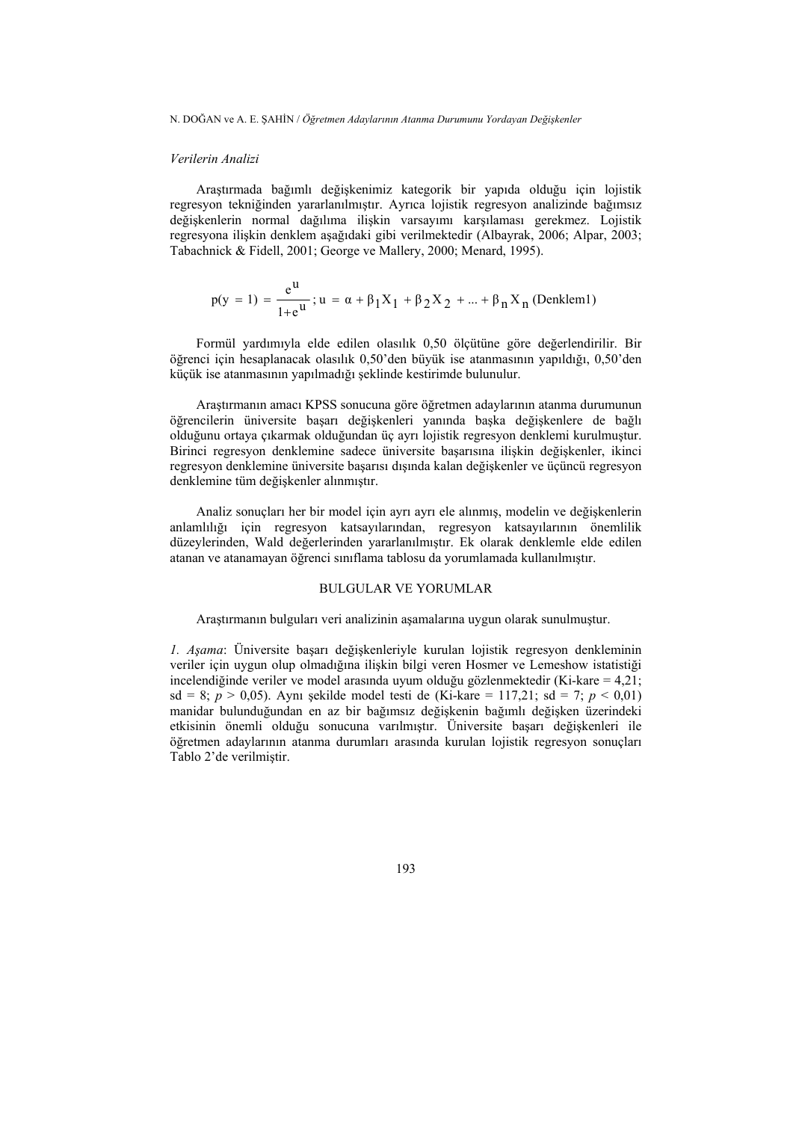## *Verilerin Analizi*

Araştırmada bağımlı değişkenimiz kategorik bir yapıda olduğu için lojistik regresyon tekniğinden yararlanılmıştır. Ayrıca lojistik regresyon analizinde bağımsız değişkenlerin normal dağılıma ilişkin varsayımı karşılaması gerekmez. Lojistik regresyona ilişkin denklem aşağıdaki gibi verilmektedir (Albayrak, 2006; Alpar, 2003; Tabachnick & Fidell, 2001; George ve Mallery, 2000; Menard, 1995).

$$
p(y = 1) = \frac{e^{u}}{1 + e^{u}}; u = \alpha + \beta_1 X_1 + \beta_2 X_2 + ... + \beta_n X_n \text{ (Denklem1)}
$$

Formül yardımıyla elde edilen olasılık 0,50 ölçütüne göre değerlendirilir. Bir öğrenci için hesaplanacak olasılık 0,50'den büyük ise atanmasının yapıldığı, 0,50'den küçük ise atanmasının yapılmadığı şeklinde kestirimde bulunulur.

Araştırmanın amacı KPSS sonucuna göre öğretmen adaylarının atanma durumunun öğrencilerin üniversite başarı değişkenleri yanında başka değişkenlere de bağlı olduğunu ortaya çıkarmak olduğundan üç ayrı lojistik regresyon denklemi kurulmuştur. Birinci regresyon denklemine sadece üniversite başarısına ilişkin değişkenler, ikinci regresyon denklemine üniversite başarısı dışında kalan değişkenler ve üçüncü regresyon denklemine tüm değişkenler alınmıştır.

Analiz sonuçları her bir model için ayrı ayrı ele alınmış, modelin ve değişkenlerin anlamlılığı için regresyon katsayılarından, regresyon katsayılarının önemlilik düzeylerinden, Wald değerlerinden yararlanılmıştır. Ek olarak denklemle elde edilen atanan ve atanamayan öğrenci sınıflama tablosu da yorumlamada kullanılmıştır.

# BULGULAR VE YORUMLAR

Araştırmanın bulguları veri analizinin aşamalarına uygun olarak sunulmuştur.

*1. Aşama*: Üniversite başarı değişkenleriyle kurulan lojistik regresyon denkleminin veriler için uygun olup olmadığına ilişkin bilgi veren Hosmer ve Lemeshow istatistiği incelendiğinde veriler ve model arasında uyum olduğu gözlenmektedir (Ki-kare = 4,21; sd = 8;  $p > 0.05$ ). Aynı şekilde model testi de (Ki-kare = 117,21; sd = 7;  $p < 0.01$ ) manidar bulunduğundan en az bir bağımsız değişkenin bağımlı değişken üzerindeki etkisinin önemli olduğu sonucuna varılmıştır. Üniversite başarı değişkenleri ile öğretmen adaylarının atanma durumları arasında kurulan lojistik regresyon sonuçları Tablo 2'de verilmiştir.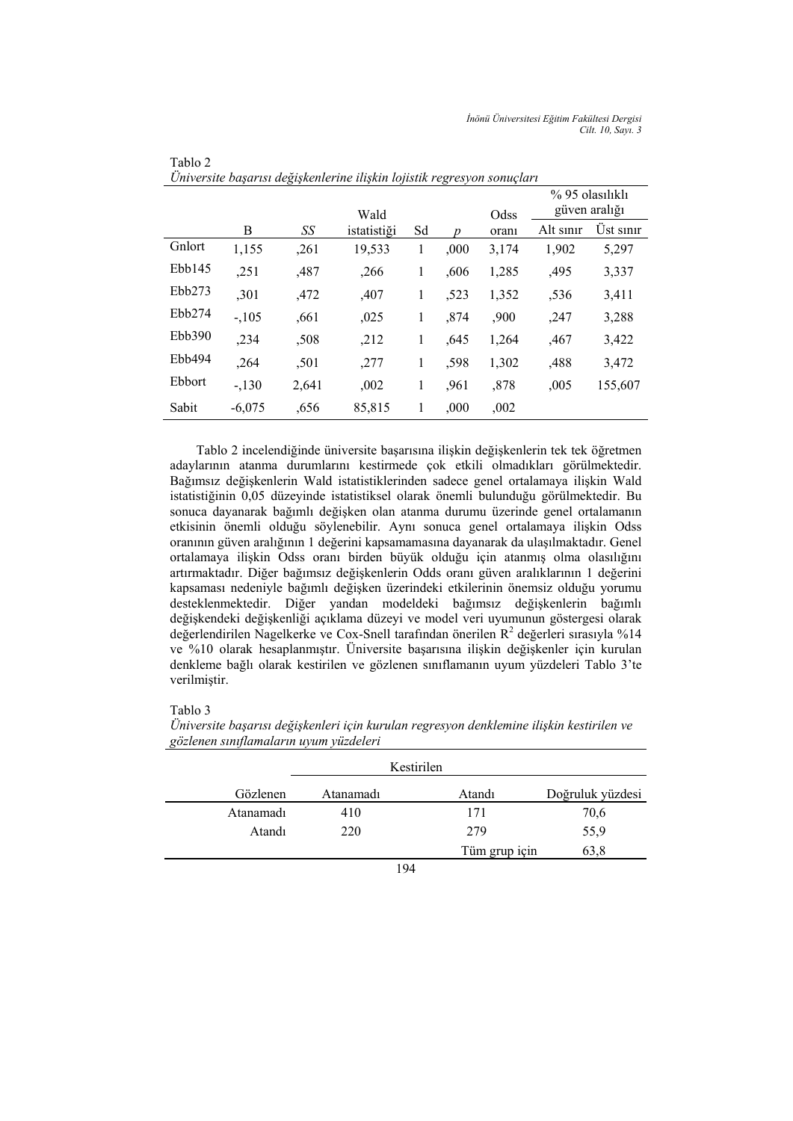#### *İnönü Üniversitesi Eğitim Fakültesi Dergisi Cilt. 10, Sayı. 3*

|        |          |       | Wald        |    |      | Odss  | $% 95$ olasılıklı<br>güven aralığı |           |  |
|--------|----------|-------|-------------|----|------|-------|------------------------------------|-----------|--|
|        | B        | SS    | istatistiği | Sd | n    | orani | Alt sinir                          | Ust sinir |  |
| Gnlort | 1,155    | ,261  | 19,533      | 1  | ,000 | 3,174 | 1,902                              | 5,297     |  |
| Ebb145 | ,251     | ,487  | ,266        | 1  | ,606 | 1,285 | ,495                               | 3,337     |  |
| Ebb273 | ,301     | ,472  | ,407        | 1  | ,523 | 1,352 | ,536                               | 3,411     |  |
| Ebb274 | $-.105$  | ,661  | ,025        | 1  | ,874 | ,900  | ,247                               | 3,288     |  |
| Ebb390 | ,234     | ,508  | ,212        | 1  | ,645 | 1,264 | ,467                               | 3,422     |  |
| Ebb494 | ,264     | .501  | ,277        | 1  | ,598 | 1,302 | ,488                               | 3,472     |  |
| Ebbort | $-.130$  | 2,641 | ,002        | 1  | ,961 | ,878  | ,005                               | 155,607   |  |
| Sabit  | $-6,075$ | ,656  | 85,815      | 1  | ,000 | ,002  |                                    |           |  |

*Üniversite başarısı değişkenlerine ilişkin lojistik regresyon sonuçları*

Tablo 2 incelendiğinde üniversite başarısına ilişkin değişkenlerin tek tek öğretmen adaylarının atanma durumlarını kestirmede çok etkili olmadıkları görülmektedir. Bağımsız değişkenlerin Wald istatistiklerinden sadece genel ortalamaya ilişkin Wald istatistiğinin 0,05 düzeyinde istatistiksel olarak önemli bulunduğu görülmektedir. Bu sonuca dayanarak bağımlı değişken olan atanma durumu üzerinde genel ortalamanın etkisinin önemli olduğu söylenebilir. Aynı sonuca genel ortalamaya ilişkin Odss oranının güven aralığının 1 değerini kapsamamasına dayanarak da ulaşılmaktadır. Genel ortalamaya ilişkin Odss oranı birden büyük olduğu için atanmış olma olasılığını artırmaktadır. Diğer bağımsız değişkenlerin Odds oranı güven aralıklarının 1 değerini kapsaması nedeniyle bağımlı değişken üzerindeki etkilerinin önemsiz olduğu yorumu desteklenmektedir. Diğer yandan modeldeki bağımsız değişkenlerin bağımlı değişkendeki değişkenliği açıklama düzeyi ve model veri uyumunun göstergesi olarak değerlendirilen Nagelkerke ve Cox-Snell tarafından önerilen  $R^2$  değerleri sırasıyla %14 ve %10 olarak hesaplanmıştır. Üniversite başarısına ilişkin değişkenler için kurulan denkleme bağlı olarak kestirilen ve gözlenen sınıflamanın uyum yüzdeleri Tablo 3'te verilmiştir.

## Tablo 3

Tablo 2

|                    | Kestirilen |               |                  |  |  |  |
|--------------------|------------|---------------|------------------|--|--|--|
| Gözlenen           | Atanamadı  | Atandi        | Doğruluk yüzdesi |  |  |  |
| Atanamadı          | 410        | 171           | 70,6             |  |  |  |
| Atand <sub>1</sub> | 220        | 279           | 55,9             |  |  |  |
|                    |            | Tüm grup için | 63,8             |  |  |  |

*Üniversite başarısı değişkenleri için kurulan regresyon denklemine ilişkin kestirilen ve gözlenen sınıflamaların uyum yüzdeleri*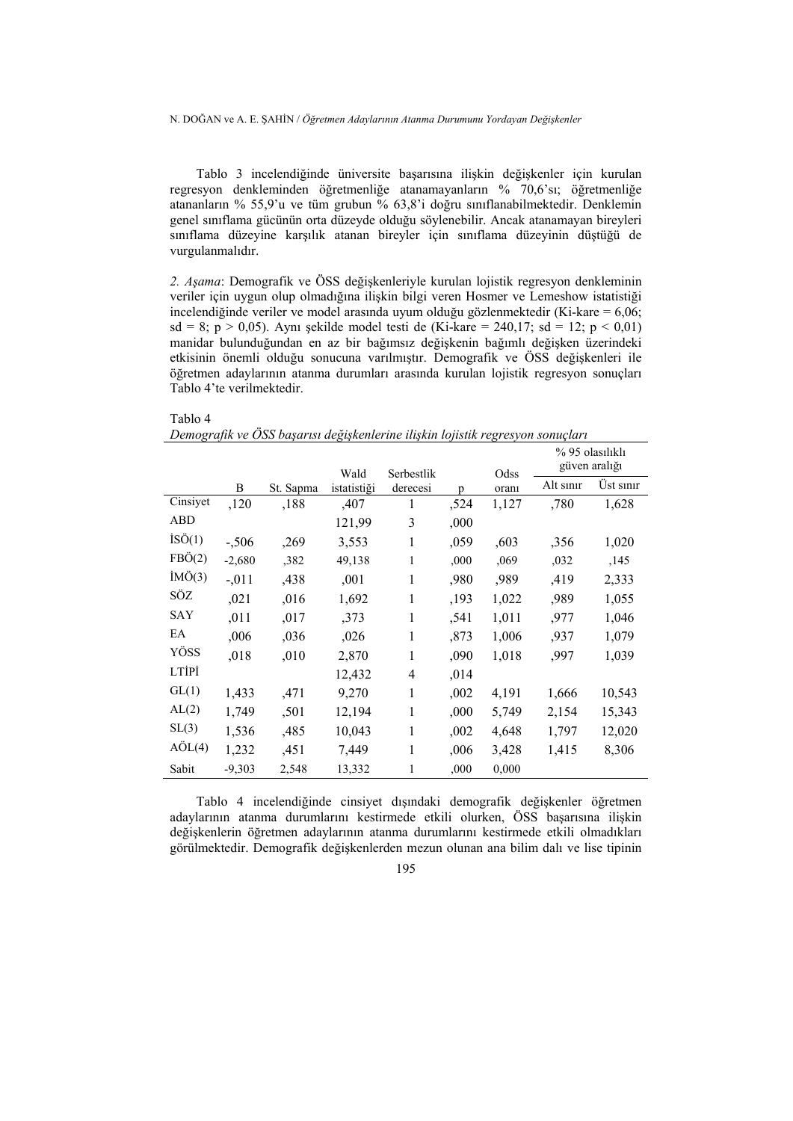Tablo 3 incelendiğinde üniversite başarısına ilişkin değişkenler için kurulan regresyon denkleminden öğretmenliğe atanamayanların % 70,6'sı; öğretmenliğe atananların % 55,9'u ve tüm grubun % 63,8'i doğru sınıflanabilmektedir. Denklemin genel sınıflama gücünün orta düzeyde olduğu söylenebilir. Ancak atanamayan bireyleri sınıflama düzeyine karşılık atanan bireyler için sınıflama düzeyinin düştüğü de vurgulanmalıdır.

*2. Aşama*: Demografik ve ÖSS değişkenleriyle kurulan lojistik regresyon denkleminin veriler için uygun olup olmadığına ilişkin bilgi veren Hosmer ve Lemeshow istatistiği incelendiğinde veriler ve model arasında uyum olduğu gözlenmektedir (Ki-kare = 6,06; sd = 8; p > 0,05). Aynı şekilde model testi de (Ki-kare = 240,17; sd = 12; p < 0,01) manidar bulunduğundan en az bir bağımsız değişkenin bağımlı değişken üzerindeki etkisinin önemli olduğu sonucuna varılmıştır. Demografik ve ÖSS değişkenleri ile öğretmen adaylarının atanma durumları arasında kurulan lojistik regresyon sonuçları Tablo 4'te verilmektedir.

Tablo 4

*Demografik ve ÖSS başarısı değişkenlerine ilişkin lojistik regresyon sonuçları*

|                 |          |           |                     |                        |      |               |           | % 95 olasılıklı<br>güven aralığı |
|-----------------|----------|-----------|---------------------|------------------------|------|---------------|-----------|----------------------------------|
|                 | B        | St. Sapma | Wald<br>istatistiği | Serbestlik<br>derecesi | p    | Odss<br>oranı | Alt sinir | Üst sinir                        |
| Cinsiyet        | ,120     | ,188      | ,407                | 1                      | ,524 | 1,127         | ,780      | 1,628                            |
| ABD             |          |           | 121,99              | 3                      | ,000 |               |           |                                  |
| $\text{ISO}(1)$ | $-.506$  | ,269      | 3,553               | 1                      | ,059 | ,603          | ,356      | 1,020                            |
| FBÖ(2)          | $-2,680$ | .382      | 49,138              | 1                      | ,000 | ,069          | ,032      | ,145                             |
| IMÖ(3)          | $-.011$  | ,438      | ,001                | 1                      | ,980 | ,989          | ,419      | 2,333                            |
| SÖZ             | ,021     | ,016      | 1,692               | 1                      | ,193 | 1,022         | ,989      | 1,055                            |
| <b>SAY</b>      | ,011     | ,017      | ,373                | 1                      | ,541 | 1,011         | ,977      | 1,046                            |
| EA              | ,006     | ,036      | ,026                | 1                      | ,873 | 1,006         | ,937      | 1,079                            |
| YÖSS            | ,018     | ,010      | 2,870               | $\mathbf{1}$           | ,090 | 1,018         | ,997      | 1,039                            |
| LTİPİ           |          |           | 12,432              | $\overline{4}$         | ,014 |               |           |                                  |
| GL(1)           | 1,433    | ,471      | 9,270               | 1                      | ,002 | 4,191         | 1,666     | 10,543                           |
| AL(2)           | 1,749    | ,501      | 12,194              | 1                      | ,000 | 5,749         | 2,154     | 15,343                           |
| SL(3)           | 1,536    | ,485      | 10,043              | 1                      | ,002 | 4,648         | 1,797     | 12,020                           |
| $A\ddot{O}L(4)$ | 1,232    | ,451      | 7,449               | 1                      | ,006 | 3,428         | 1,415     | 8,306                            |
| Sabit           | $-9,303$ | 2,548     | 13,332              | $\mathbf{1}$           | ,000 | 0,000         |           |                                  |

Tablo 4 incelendiğinde cinsiyet dışındaki demografik değişkenler öğretmen adaylarının atanma durumlarını kestirmede etkili olurken, ÖSS başarısına ilişkin değişkenlerin öğretmen adaylarının atanma durumlarını kestirmede etkili olmadıkları görülmektedir. Demografik değişkenlerden mezun olunan ana bilim dalı ve lise tipinin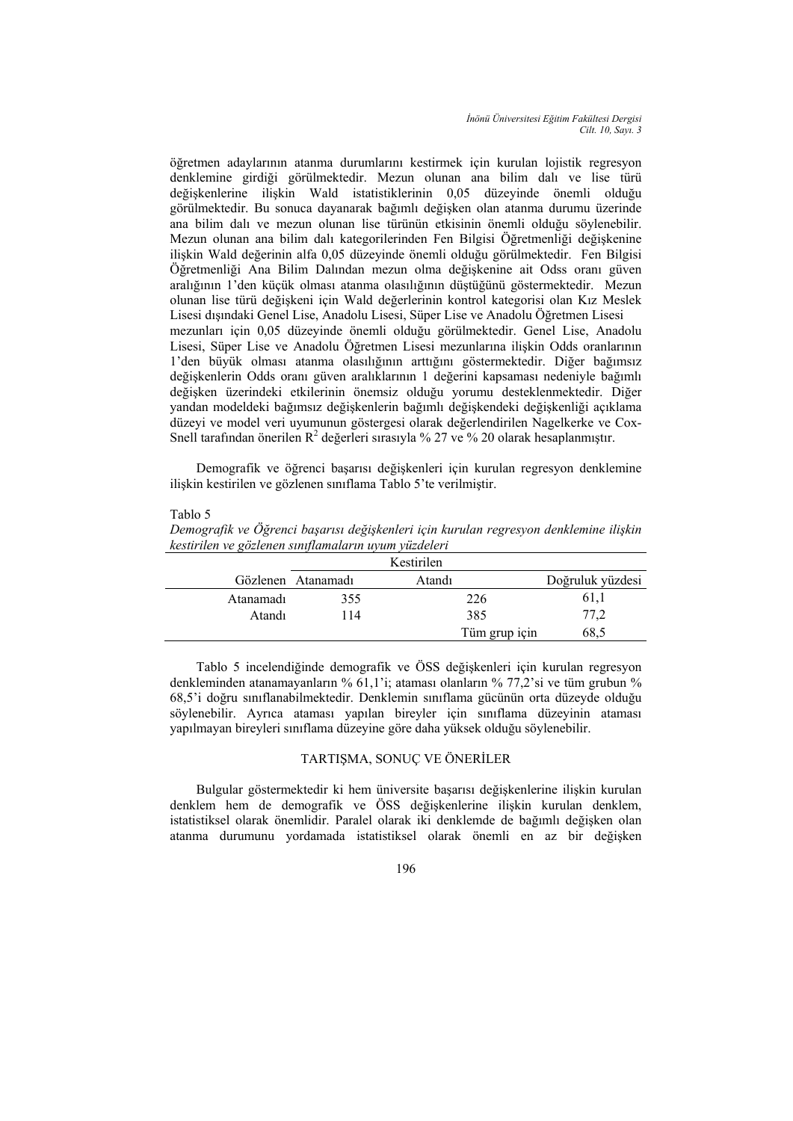öğretmen adaylarının atanma durumlarını kestirmek için kurulan lojistik regresyon denklemine girdiği görülmektedir. Mezun olunan ana bilim dalı ve lise türü değişkenlerine ilişkin Wald istatistiklerinin 0,05 düzeyinde önemli olduğu görülmektedir. Bu sonuca dayanarak bağımlı değişken olan atanma durumu üzerinde ana bilim dalı ve mezun olunan lise türünün etkisinin önemli olduğu söylenebilir. Mezun olunan ana bilim dalı kategorilerinden Fen Bilgisi Öğretmenliği değişkenine ilişkin Wald değerinin alfa 0,05 düzeyinde önemli olduğu görülmektedir. Fen Bilgisi Öğretmenliği Ana Bilim Dalından mezun olma değişkenine ait Odss oranı güven aralığının 1'den küçük olması atanma olasılığının düştüğünü göstermektedir. Mezun olunan lise türü değişkeni için Wald değerlerinin kontrol kategorisi olan Kız Meslek Lisesi dışındaki Genel Lise, Anadolu Lisesi, Süper Lise ve Anadolu Öğretmen Lisesi mezunları için 0,05 düzeyinde önemli olduğu görülmektedir. Genel Lise, Anadolu Lisesi, Süper Lise ve Anadolu Öğretmen Lisesi mezunlarına ilişkin Odds oranlarının 1'den büyük olması atanma olasılığının arttığını göstermektedir. Diğer bağımsız değişkenlerin Odds oranı güven aralıklarının 1 değerini kapsaması nedeniyle bağımlı değişken üzerindeki etkilerinin önemsiz olduğu yorumu desteklenmektedir. Diğer yandan modeldeki bağımsız değişkenlerin bağımlı değişkendeki değişkenliği açıklama düzeyi ve model veri uyumunun göstergesi olarak değerlendirilen Nagelkerke ve Cox-Snell tarafından önerilen  $R^2$  değerleri sırasıyla % 27 ve % 20 olarak hesaplanmıştır.

Demografik ve öğrenci başarısı değişkenleri için kurulan regresyon denklemine ilişkin kestirilen ve gözlenen sınıflama Tablo 5'te verilmiştir.

#### Tablo 5

| Demografik ve Öğrenci başarısı değişkenleri için kurulan regresyon denklemine ilişkin |  |  |
|---------------------------------------------------------------------------------------|--|--|
| kestirilen ve gözlenen sınıflamaların uyum yüzdeleri                                  |  |  |

|           |                    | Kestirilen    |                  |
|-----------|--------------------|---------------|------------------|
|           | Gözlenen Atanamadı | Atandı        | Doğruluk yüzdesi |
| Atanamadı | 355                | 226           | 61.1             |
| Atandi    | 114                | 385           | 77,2             |
|           |                    | Tüm grup için | 68.5             |

 Tablo 5 incelendiğinde demografik ve ÖSS değişkenleri için kurulan regresyon denkleminden atanamayanların % 61,1'i; ataması olanların % 77,2'si ve tüm grubun % 68,5'i doğru sınıflanabilmektedir. Denklemin sınıflama gücünün orta düzeyde olduğu söylenebilir. Ayrıca ataması yapılan bireyler için sınıflama düzeyinin ataması yapılmayan bireyleri sınıflama düzeyine göre daha yüksek olduğu söylenebilir.

## TARTIŞMA, SONUÇ VE ÖNERİLER

Bulgular göstermektedir ki hem üniversite başarısı değişkenlerine ilişkin kurulan denklem hem de demografik ve ÖSS değişkenlerine ilişkin kurulan denklem, istatistiksel olarak önemlidir. Paralel olarak iki denklemde de bağımlı değişken olan atanma durumunu yordamada istatistiksel olarak önemli en az bir değişken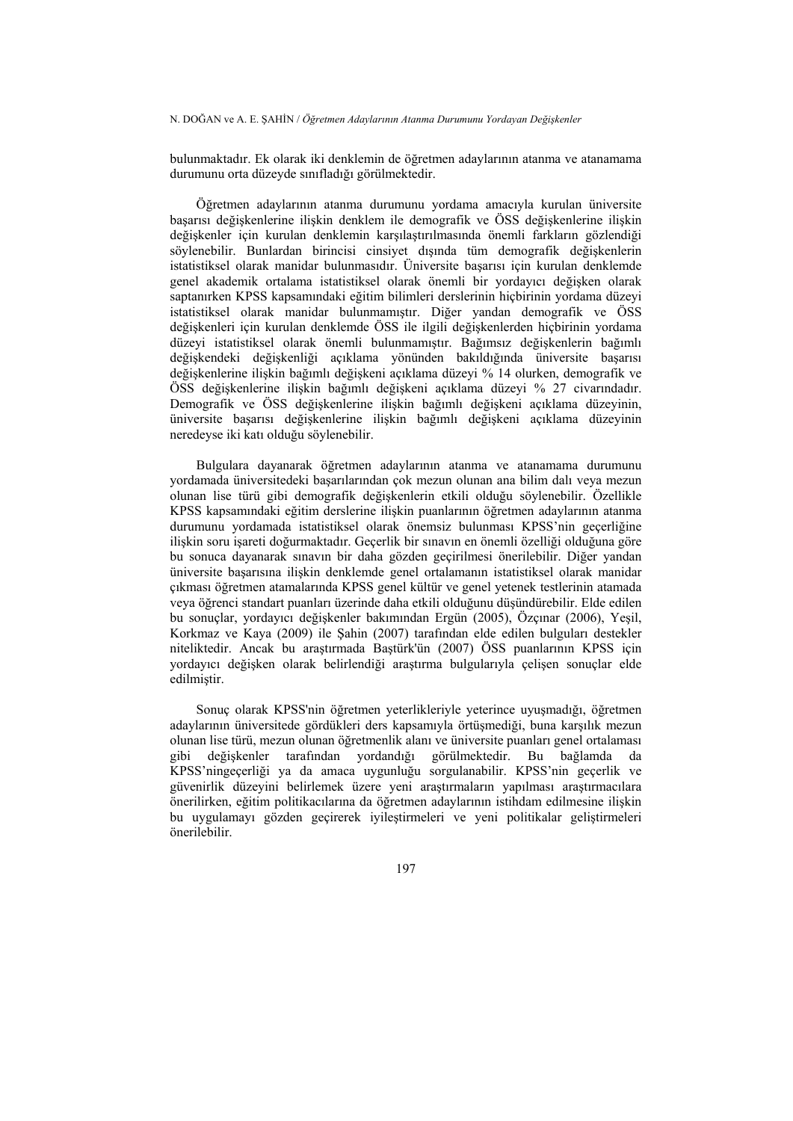bulunmaktadır. Ek olarak iki denklemin de öğretmen adaylarının atanma ve atanamama durumunu orta düzeyde sınıfladığı görülmektedir.

Öğretmen adaylarının atanma durumunu yordama amacıyla kurulan üniversite başarısı değişkenlerine ilişkin denklem ile demografik ve ÖSS değişkenlerine ilişkin değişkenler için kurulan denklemin karşılaştırılmasında önemli farkların gözlendiği söylenebilir. Bunlardan birincisi cinsiyet dışında tüm demografik değişkenlerin istatistiksel olarak manidar bulunmasıdır. Üniversite başarısı için kurulan denklemde genel akademik ortalama istatistiksel olarak önemli bir yordayıcı değişken olarak saptanırken KPSS kapsamındaki eğitim bilimleri derslerinin hiçbirinin yordama düzeyi istatistiksel olarak manidar bulunmamıştır. Diğer yandan demografik ve ÖSS değişkenleri için kurulan denklemde ÖSS ile ilgili değişkenlerden hiçbirinin yordama düzeyi istatistiksel olarak önemli bulunmamıştır. Bağımsız değişkenlerin bağımlı değişkendeki değişkenliği açıklama yönünden bakıldığında üniversite başarısı değişkenlerine ilişkin bağımlı değişkeni açıklama düzeyi % 14 olurken, demografik ve ÖSS değişkenlerine ilişkin bağımlı değişkeni açıklama düzeyi % 27 civarındadır. Demografik ve ÖSS değişkenlerine ilişkin bağımlı değişkeni açıklama düzeyinin, üniversite başarısı değişkenlerine ilişkin bağımlı değişkeni açıklama düzeyinin neredeyse iki katı olduğu söylenebilir.

Bulgulara dayanarak öğretmen adaylarının atanma ve atanamama durumunu yordamada üniversitedeki başarılarından çok mezun olunan ana bilim dalı veya mezun olunan lise türü gibi demografik değişkenlerin etkili olduğu söylenebilir. Özellikle KPSS kapsamındaki eğitim derslerine ilişkin puanlarının öğretmen adaylarının atanma durumunu yordamada istatistiksel olarak önemsiz bulunması KPSS'nin geçerliğine ilişkin soru işareti doğurmaktadır. Geçerlik bir sınavın en önemli özelliği olduğuna göre bu sonuca dayanarak sınavın bir daha gözden geçirilmesi önerilebilir. Diğer yandan üniversite başarısına ilişkin denklemde genel ortalamanın istatistiksel olarak manidar çıkması öğretmen atamalarında KPSS genel kültür ve genel yetenek testlerinin atamada veya öğrenci standart puanları üzerinde daha etkili olduğunu düşündürebilir. Elde edilen bu sonuçlar, yordayıcı değişkenler bakımından Ergün (2005), Özçınar (2006), Yeşil, Korkmaz ve Kaya (2009) ile Şahin (2007) tarafından elde edilen bulguları destekler niteliktedir. Ancak bu araştırmada Baştürk'ün (2007) ÖSS puanlarının KPSS için yordayıcı değişken olarak belirlendiği araştırma bulgularıyla çelişen sonuçlar elde edilmiştir.

Sonuç olarak KPSS'nin öğretmen yeterlikleriyle yeterince uyuşmadığı, öğretmen adaylarının üniversitede gördükleri ders kapsamıyla örtüşmediği, buna karşılık mezun olunan lise türü, mezun olunan öğretmenlik alanı ve üniversite puanları genel ortalaması gibi değişkenler tarafından yordandığı görülmektedir. Bu bağlamda da KPSS'ningeçerliği ya da amaca uygunluğu sorgulanabilir. KPSS'nin geçerlik ve güvenirlik düzeyini belirlemek üzere yeni araştırmaların yapılması araştırmacılara önerilirken, eğitim politikacılarına da öğretmen adaylarının istihdam edilmesine ilişkin bu uygulamayı gözden geçirerek iyileştirmeleri ve yeni politikalar geliştirmeleri önerilebilir.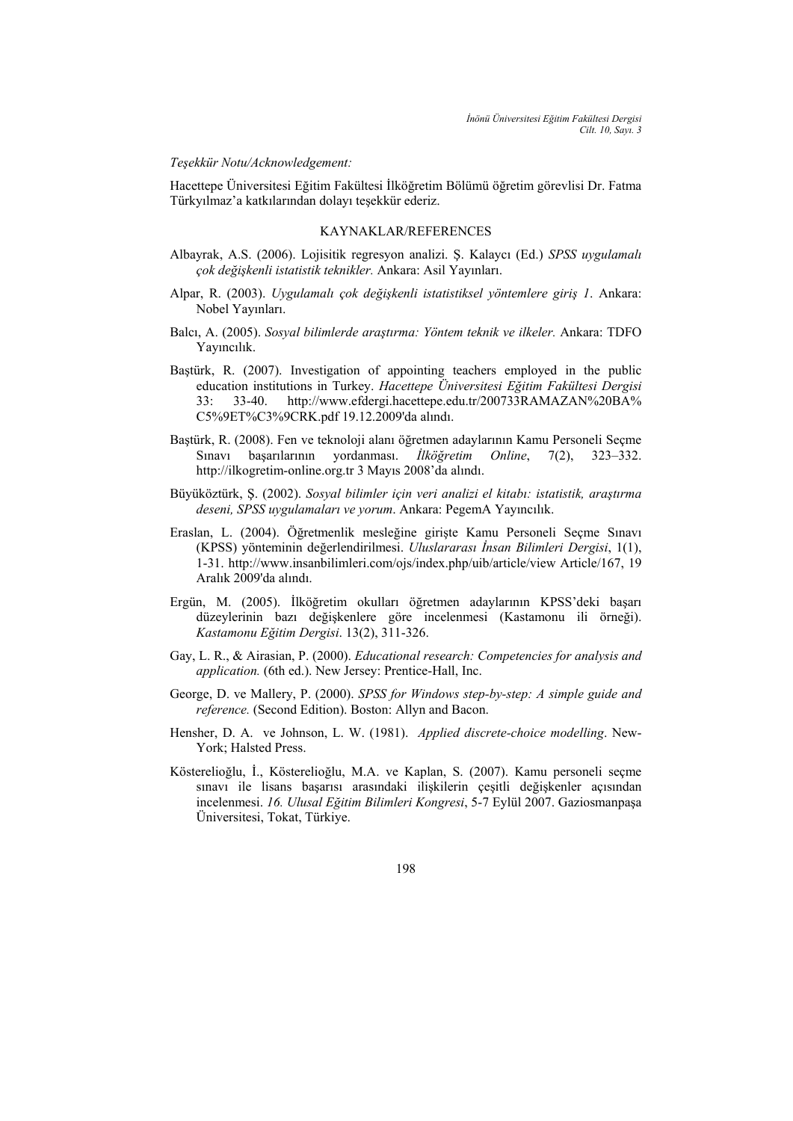*Teşekkür Notu/Acknowledgement:* 

Hacettepe Üniversitesi Eğitim Fakültesi İlköğretim Bölümü öğretim görevlisi Dr. Fatma Türkyılmaz'a katkılarından dolayı teşekkür ederiz.

#### KAYNAKLAR/REFERENCES

- Albayrak, A.S. (2006). Lojisitik regresyon analizi. Ş. Kalaycı (Ed.) *SPSS uygulamalı çok değişkenli istatistik teknikler.* Ankara: Asil Yayınları.
- Alpar, R. (2003). *Uygulamalı çok değişkenli istatistiksel yöntemlere giriş 1*. Ankara: Nobel Yayınları.
- Balcı, A. (2005). *Sosyal bilimlerde araştırma: Yöntem teknik ve ilkeler.* Ankara: TDFO Yayıncılık.
- Baştürk, R. (2007). Investigation of appointing teachers employed in the public education institutions in Turkey. *Hacettepe Üniversitesi Eğitim Fakültesi Dergisi* 33: 33-40. http://www.efdergi.hacettepe.edu.tr/200733RAMAZAN%20BA% C5%9ET%C3%9CRK.pdf 19.12.2009'da alındı.
- Baştürk, R. (2008). Fen ve teknoloji alanı öğretmen adaylarının Kamu Personeli Seçme Sınavı başarılarının yordanması. *İlköğretim Online*, 7(2), 323–332. http://ilkogretim-online.org.tr 3 Mayıs 2008'da alındı.
- Büyüköztürk, Ş. (2002). *Sosyal bilimler için veri analizi el kitabı: istatistik, araştırma deseni, SPSS uygulamaları ve yorum*. Ankara: PegemA Yayıncılık.
- Eraslan, L. (2004). Öğretmenlik mesleğine girişte Kamu Personeli Seçme Sınavı (KPSS) yönteminin değerlendirilmesi. *Uluslararası İnsan Bilimleri Dergisi*, 1(1), 1-31. http://www.insanbilimleri.com/ojs/index.php/uib/article/view Article/167, 19 Aralık 2009'da alındı.
- Ergün, M. (2005). İlköğretim okulları öğretmen adaylarının KPSS'deki başarı düzeylerinin bazı değişkenlere göre incelenmesi (Kastamonu ili örneği). *Kastamonu Eğitim Dergisi*. 13(2), 311-326.
- Gay, L. R., & Airasian, P. (2000). *Educational research: Competencies for analysis and application.* (6th ed.). New Jersey: Prentice-Hall, Inc.
- George, D. ve Mallery, P. (2000). *SPSS for Windows step-by-step: A simple guide and reference.* (Second Edition). Boston: Allyn and Bacon.
- Hensher, D. A. ve Johnson, L. W. (1981). *Applied discrete-choice modelling*. New-York; Halsted Press.
- Kösterelioğlu, İ., Kösterelioğlu, M.A. ve Kaplan, S. (2007). Kamu personeli seçme sınavı ile lisans başarısı arasındaki ilişkilerin çeşitli değişkenler açısından incelenmesi. *16. Ulusal Eğitim Bilimleri Kongresi*, 5-7 Eylül 2007. Gaziosmanpaşa Üniversitesi, Tokat, Türkiye.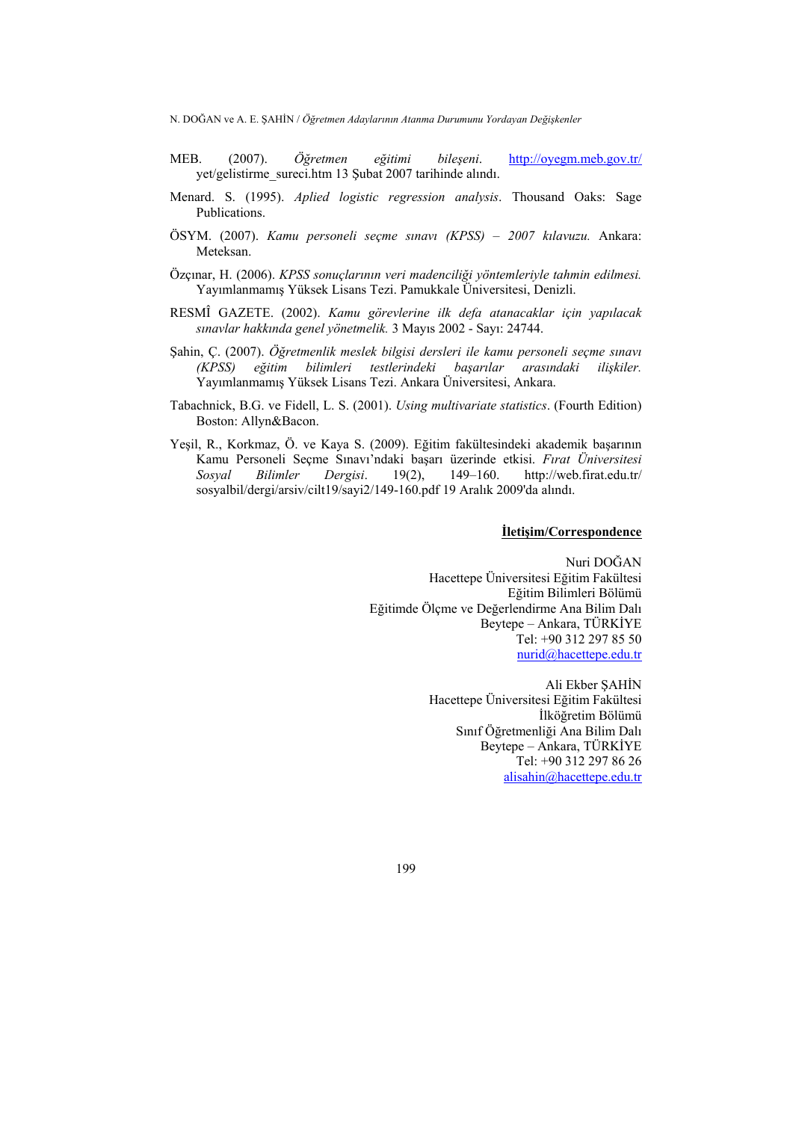- MEB. (2007). *Öğretmen eğitimi bileşeni*. http://oyegm.meb.gov.tr/ yet/gelistirme\_sureci.htm 13 Şubat 2007 tarihinde alındı.
- Menard. S. (1995). *Aplied logistic regression analysis*. Thousand Oaks: Sage Publications.
- ÖSYM. (2007). *Kamu personeli seçme sınavı (KPSS) 2007 kılavuzu.* Ankara: Meteksan.
- Özçınar, H. (2006). *KPSS sonuçlarının veri madenciliği yöntemleriyle tahmin edilmesi.* Yayımlanmamış Yüksek Lisans Tezi. Pamukkale Üniversitesi, Denizli.
- RESMÎ GAZETE. (2002). *Kamu görevlerine ilk defa atanacaklar için yapılacak sınavlar hakkında genel yönetmelik.* 3 Mayıs 2002 - Sayı: 24744.
- Şahin, Ç. (2007). *Öğretmenlik meslek bilgisi dersleri ile kamu personeli seçme sınavı (KPSS) eğitim bilimleri testlerindeki başarılar arasındaki ilişkiler.* Yayımlanmamış Yüksek Lisans Tezi. Ankara Üniversitesi, Ankara.
- Tabachnick, B.G. ve Fidell, L. S. (2001). *Using multivariate statistics*. (Fourth Edition) Boston: Allyn&Bacon.
- Yeşil, R., Korkmaz, Ö. ve Kaya S. (2009). Eğitim fakültesindeki akademik başarının Kamu Personeli Seçme Sınavı'ndaki başarı üzerinde etkisi. *Fırat Üniversitesi Sosyal Bilimler Dergisi*. 19(2), 149–160. http://web.firat.edu.tr/ sosyalbil/dergi/arsiv/cilt19/sayi2/149-160.pdf 19 Aralık 2009'da alındı.

# **İletişim/Correspondence**

Nuri DOĞAN Hacettepe Üniversitesi Eğitim Fakültesi Eğitim Bilimleri Bölümü Eğitimde Ölçme ve Değerlendirme Ana Bilim Dalı Beytepe – Ankara, TÜRKİYE Tel: +90 312 297 85 50 nurid@hacettepe.edu.tr

> Ali Ekber ŞAHİN Hacettepe Üniversitesi Eğitim Fakültesi İlköğretim Bölümü Sınıf Öğretmenliği Ana Bilim Dalı Beytepe – Ankara, TÜRKİYE Tel: +90 312 297 86 26 alisahin@hacettepe.edu.tr